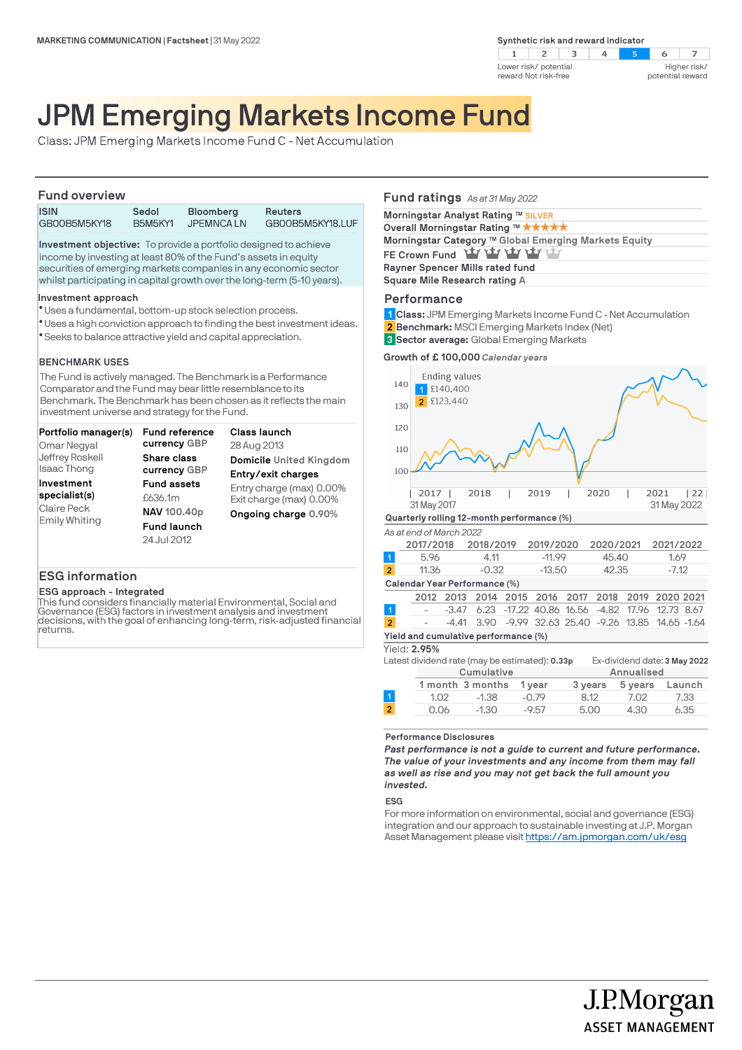**Synthetic risk and reward indicator** 





# JPM Emerging Markets Income Fund

Class: JPM Emerging Markets Income Fund C - Net Accumulation

### **Fund overview**

| <b>ISIN</b>  | Sedol          | <b>Bloomberg</b> | <b>Reuters</b>   |  |  |
|--------------|----------------|------------------|------------------|--|--|
| GB00B5M5KY18 | <b>B5M5KY1</b> | <b>JPEMNCALN</b> | GB00B5M5KY18.LUF |  |  |

**Investment objective:** To provide a portfolio designed to achieve income by investing at least 80% of the Fund's assets in equity securities of emerging markets companies in any economic sector whilst participating in capital growth over the long-term (5-10 years).

### **Investment approach**

- Uses a fundamental, bottom-up stock selection process. l
- Uses a high conviction approach to finding the best investment ideas. l
- Seeks to balance attractive yield and capital appreciation. l

### **BENCHMARK USES**

The Fund is actively managed. The Benchmark is a Performance Comparator and the Fund may bear little resemblance to its Benchmark. The Benchmark has been chosen as it reflects the main investment universe and strategy for the Fund.

| Portfolio manager(s)                                               | Fund reference                                                                    | <b>Class launch</b>                                                         |
|--------------------------------------------------------------------|-----------------------------------------------------------------------------------|-----------------------------------------------------------------------------|
| Omar Negyal                                                        | currency GBP                                                                      | 28 Aug 2013                                                                 |
| Jeffrey Roskell                                                    | Share class                                                                       | Domicile United Kingdom                                                     |
| <b>Isaac Thong</b>                                                 | currency GBP                                                                      | Entry/exit charges                                                          |
| Investment<br>specialist(s)<br>Claire Peck<br><b>Emily Whiting</b> | <b>Fund assets</b><br>£636.1m<br>NAV 100.40p<br><b>Fund launch</b><br>24 Jul 2012 | Entry charge (max) 0.00%<br>Exit charge (max) 0.00%<br>Ongoing charge 0.90% |

### **ESG information**

### **ESG approach - Integrated**

This fund considers financially material Environmental, Social and Governance (ESG) factors in investment analysis and investment decisions, with the goal of enhancing long-term, risk-adjusted financial returns.

### **Fund ratings** *As at 31 May 2022*

| Morningstar Analyst Rating ™ SILVER                   |
|-------------------------------------------------------|
| Overall Morningstar Rating ™ *****                    |
| Morningstar Category ™ Global Emerging Markets Equity |
| FE Crown Fund Lay Lay Lay Lay Lay                     |
| Rayner Spencer Mills rated fund                       |
| Square Mile Research rating A                         |
|                                                       |

### **Performance**

**Class:** JPM Emerging Markets Income Fund C - Net Accumulation **1**

- **Benchmark:** MSCI Emerging Markets Index (Net) **2**
- **Sector average:** Global Emerging Markets **3**

### **Growth of £ 100,000** *Calendar years*

| 140                                  |                                                | <b>Ending values</b><br>£140,400 |                  |           |                               |         |           |            |                              |        |
|--------------------------------------|------------------------------------------------|----------------------------------|------------------|-----------|-------------------------------|---------|-----------|------------|------------------------------|--------|
| 130                                  | $\overline{2}$                                 | £123,440                         |                  |           |                               |         |           |            |                              |        |
| 120                                  |                                                |                                  |                  |           |                               |         |           |            |                              |        |
| 110                                  |                                                |                                  |                  |           |                               |         |           |            |                              |        |
| 100                                  |                                                |                                  |                  |           |                               |         |           |            |                              |        |
|                                      | 2017<br>31 May 2017                            |                                  | 2018             |           | 2019                          |         | 2020      |            | 2021<br>31 May 2022          | 22     |
|                                      | Quarterly rolling 12-month performance (%)     |                                  |                  |           |                               |         |           |            |                              |        |
|                                      | As at end of March 2022                        |                                  |                  |           |                               |         |           |            |                              |        |
|                                      | 2017/2018                                      |                                  | 2018/2019        |           | 2019/2020                     |         | 2020/2021 |            | 2021/2022                    |        |
| $\mathbf{1}$                         | 5.96                                           |                                  | 4.11             |           | $-11.99$                      |         | 45.40     |            | 1.69                         |        |
| $\overline{2}$                       | 11.36                                          |                                  | $-0.32$          |           | $-13.50$                      |         | 42.35     |            | $-7.12$                      |        |
|                                      | Calendar Year Performance (%)                  |                                  |                  |           |                               |         |           |            |                              |        |
|                                      | 2012                                           | 2013                             |                  | 2014 2015 | 2016                          | 2017    | 2018      | 2019       | 2020 2021                    |        |
| $\overline{1}$                       |                                                | $-3.47$                          | 6.23             |           | $-17.22$ 40.86                | 16.56   | -4.82     | 17.96      | 12.73 8.67                   |        |
| $\overline{2}$                       |                                                | $-4.41$                          | 3.90             |           | -9.99 32.63 25.40 -9.26 13.85 |         |           |            | 14.65 -1.64                  |        |
| Yield and cumulative performance (%) |                                                |                                  |                  |           |                               |         |           |            |                              |        |
| Yield: 2.95%                         |                                                |                                  |                  |           |                               |         |           |            |                              |        |
|                                      | Latest dividend rate (may be estimated): 0.33p |                                  |                  |           |                               |         |           |            | Ex-dividend date: 3 May 2022 |        |
|                                      |                                                |                                  | Cumulative       |           |                               |         |           | Annualised |                              |        |
|                                      |                                                |                                  | 1 month 3 months |           | 1 year                        | 3 years |           | 5 years    |                              | Launch |

**Performance Disclosures**

*Past performance is not a guide to current and future performance. The value of your investments and any income from them may fall as well as rise and you may not get back the full amount you invested.* 

1.02 -1.38 -0.79 8.12 7.02 7.33 0.06 -1.30 -9.57 5.00 4.30 6.35

#### **ESG**

For more information on environmental, social and governance (ESG) integration and our approach to sustainable investing at J.P. Morgan Asset Management please visit https://am.jpmorgan.com/uk/esg

J.P.Morgan

**ASSET MANAGEMENT**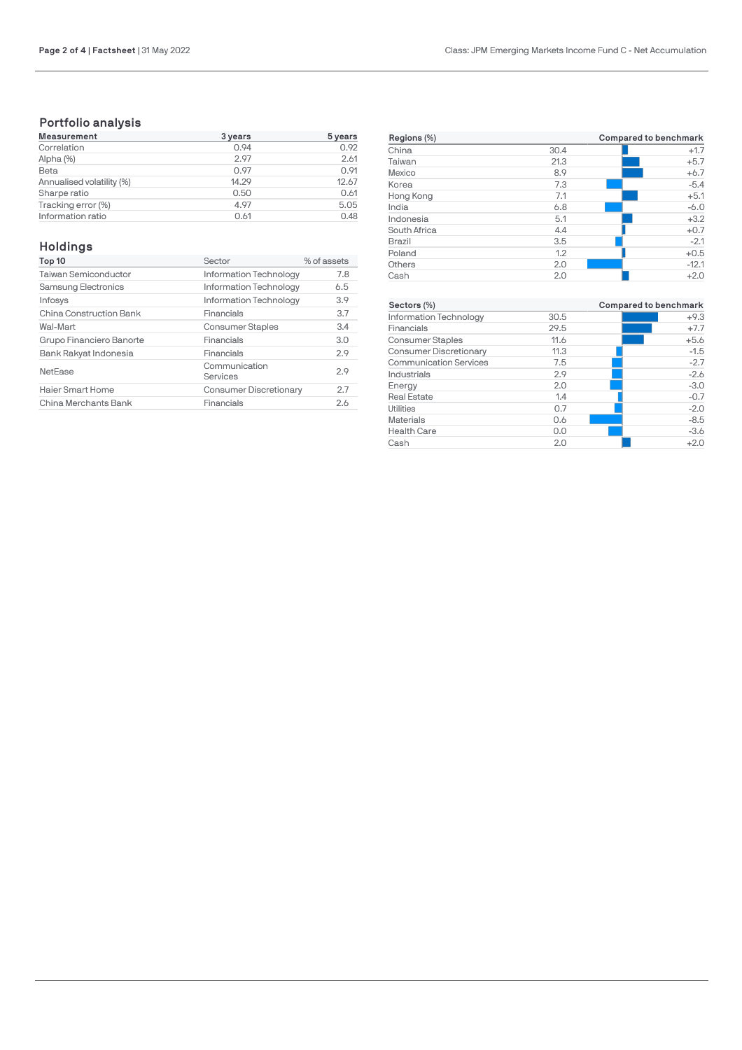## **Portfolio analysis**

| <b>Measurement</b>        | 3 years | 5 years |
|---------------------------|---------|---------|
| Correlation               | 0.94    | 0.92    |
| Alpha (%)                 | 2.97    | 2.61    |
| Beta                      | 0.97    | 0.91    |
| Annualised volatility (%) | 14.29   | 12.67   |
| Sharpe ratio              | 0.50    | 0.61    |
| Tracking error (%)        | 4.97    | 5.05    |
| Information ratio         | 0.61    | 0.48    |

## **Holdings**

| Top 10                      | Sector                        | % of assets |
|-----------------------------|-------------------------------|-------------|
| <b>Taiwan Semiconductor</b> | Information Technology        | 7.8         |
| Samsung Electronics         | Information Technology        | 6.5         |
| Infosys                     | Information Technology        | 3.9         |
| China Construction Bank     | Financials                    | 3.7         |
| Wal-Mart                    | <b>Consumer Staples</b>       | 3.4         |
| Grupo Financiero Banorte    | Financials                    | 3.0         |
| Bank Rakyat Indonesia       | Financials                    | 2.9         |
| NetEase                     | Communication<br>Services     | 2.9         |
| Haier Smart Home            | <b>Consumer Discretionary</b> | 2.7         |
| China Merchants Bank        | Financials                    | 2.6         |

| Regions (%)   |      | Compared to benchmark |
|---------------|------|-----------------------|
| China         | 30.4 | $+1.7$                |
| Taiwan        | 21.3 | $+5.7$                |
| Mexico        | 8.9  | $+6.7$                |
| Korea         | 7.3  | $-5.4$                |
| Hong Kong     | 7.1  | $+5.1$                |
| India         | 6.8  | $-6.0$                |
| Indonesia     | 5.1  | $+3.2$                |
| South Africa  | 4.4  | $+0.7$                |
| <b>Brazil</b> | 3.5  | $-2.1$                |
| Poland        | 1.2  | $+0.5$                |
| Others        | 2.0  | $-12.1$               |
| Cash          | 2.0  | $+2.0$                |

| Sectors (%)                   |      | Compared to benchmark |
|-------------------------------|------|-----------------------|
| Information Technology        | 30.5 | $+9.3$                |
| Financials                    | 29.5 | $+7.7$                |
| <b>Consumer Staples</b>       | 11.6 | $+5.6$                |
| Consumer Discretionary        | 11.3 | $-1.5$                |
| <b>Communication Services</b> | 7.5  | $-2.7$                |
| Industrials                   | 2.9  | $-2.6$                |
| Energy                        | 2.0  | $-3.0$                |
| <b>Real Estate</b>            | 1.4  | $-0.7$                |
| Utilities                     | 0.7  | $-2.0$                |
| <b>Materials</b>              | 0.6  | $-8.5$                |
| <b>Health Care</b>            | 0.0  | $-3.6$                |
| Cash                          | 2.0  | $+2.0$                |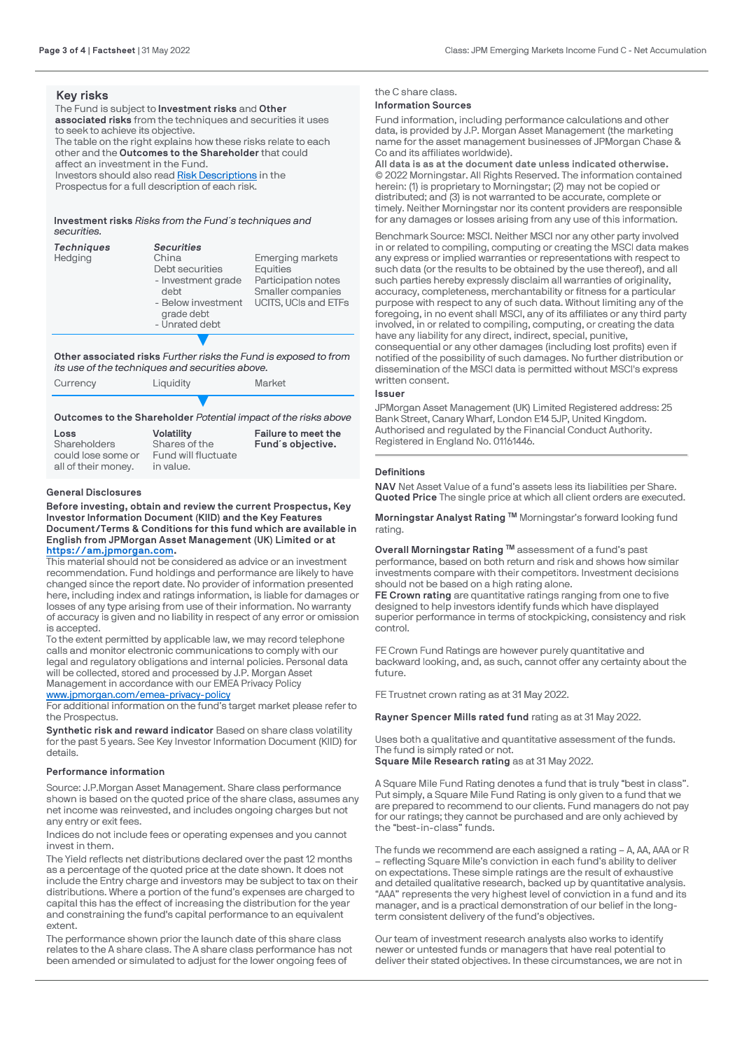### **Key risks**

The Fund is subject to **Investment risks** and **Other associated risks** from the techniques and securities it uses to seek to achieve its objective. The table on the right explains how these risks relate to each other and the **Outcomes to the Shareholder** that could affect an investment in the Fund. Investors should also read [Risk Descriptions](https://am.jpmorgan.com/gb/en/asset-management/adv/products/fund-explorer/oeics) in the

Prospectus for a full description of each risk.

**Investment risks** *Risks from the Fund´s techniques and securities.*

| <b>Techniques</b><br>Hedging | <b>Securities</b><br>China<br>Debt securities<br>- Investment grade<br>debt<br>- Below investment<br>grade debt<br>- Unrated debt | <b>Emerging markets</b><br>Equities<br>Participation notes<br>Smaller companies<br>UCITS, UCIs and ETFs |
|------------------------------|-----------------------------------------------------------------------------------------------------------------------------------|---------------------------------------------------------------------------------------------------------|
|                              |                                                                                                                                   |                                                                                                         |

**Other associated risks** *Further risks the Fund is exposed to from its use of the techniques and securities above.*

| Currency | Liquidity | Market |
|----------|-----------|--------|
|          |           |        |

### **Outcomes to the Shareholder** *Potential impact of the risks above*

| Loss                | <b>Volatility</b>   | Failure to meet the |
|---------------------|---------------------|---------------------|
| Shareholders        | Shares of the       | Fund's objective.   |
| could lose some or  | Fund will fluctuate |                     |
| all of their money. | in value.           |                     |

### **General Disclosures**

**Before investing, obtain and review the current Prospectus, Key Investor Information Document (KIID) and the Key Features Document/Terms & Conditions for this fund which are available in English from JPMorgan Asset Management (UK) Limited or at [https://am.jpmorgan.com](https://am.jpmorgan.com/).** 

This material should not be considered as advice or an investment recommendation. Fund holdings and performance are likely to have changed since the report date. No provider of information presented here, including index and ratings information, is liable for damages or losses of any type arising from use of their information. No warranty of accuracy is given and no liability in respect of any error or omission is accepted.

To the extent permitted by applicable law, we may record telephone calls and monitor electronic communications to comply with our legal and regulatory obligations and internal policies. Personal data will be collected, stored and processed by J.P. Morgan Asset Management in accordance with our EMEA Privacy Policy

[www.jpmorgan.com/emea-privacy-policy](https://www.jpmorgan.com/emea-privacy-policy) For additional information on the fund's target market please refer to

the Prospectus. **Synthetic risk and reward indicator** Based on share class volatility for the past 5 years. See Key Investor Information Document (KIID) for details.

#### **Performance information**

Source: J.P.Morgan Asset Management. Share class performance shown is based on the quoted price of the share class, assumes any net income was reinvested, and includes ongoing charges but not any entry or exit fees.

Indices do not include fees or operating expenses and you cannot invest in them.

The Yield reflects net distributions declared over the past 12 months as a percentage of the quoted price at the date shown. It does not include the Entry charge and investors may be subject to tax on their distributions. Where a portion of the fund's expenses are charged to capital this has the effect of increasing the distribution for the year and constraining the fund's capital performance to an equivalent extent.

The performance shown prior the launch date of this share class relates to the A share class. The A share class performance has not been amended or simulated to adjust for the lower ongoing fees of

### the C share class. **Information Sources**

Fund information, including performance calculations and other data, is provided by J.P. Morgan Asset Management (the marketing name for the asset management businesses of JPMorgan Chase & Co and its affiliates worldwide).

**All data is as at the document date unless indicated otherwise.** © 2022 Morningstar. All Rights Reserved. The information contained [herein: \(1\) is proprietary to Mo](https://am.jpmorgan.com/)rningstar; (2) may not be copied or distributed; and (3) is not warranted to be accurate, complete or timely. Neither Morningstar nor its content providers are responsible for any damages or losses arising from any use of this information.

Benchmark Source: MSCI. Neither MSCI nor any other party involved in or related to compiling, computing or creating the MSCI data makes any express or implied warranties or representations with respect to such data (or the results to be obtained by the use thereof), and all such parties hereby expressly disclaim all warranties of originality, accuracy, completeness, merchantability or fitness for a particular purpose with respect to any of such data. Without limiting any of the foregoing, in no event shall MSCI, any of its affiliates or any third party involved, in or related to compiling, computing, or creating the data [have any liability for any direct, indirect, sp](https://www.jpmorgan.com/emea-privacy-policy)ecial, punitive, consequential or any other damages (including lost profits) even if notified of the possibility of such damages. No further distribution or dissemination of the MSCI data is permitted without MSCI's express written consent.

#### **Issuer**

JPMorgan Asset Management (UK) Limited Registered address: 25 Bank Street, Canary Wharf, London E14 5JP, United Kingdom. Authorised and regulated by the Financial Conduct Authority. Registered in England No. 01161446.

### **Definitions**

**NAV** Net Asset Value of a fund's assets less its liabilities per Share. **Quoted Price** The single price at which all client orders are executed.

**Morningstar Analyst Rating ™** Morningstar's forward looking fund rating.

**Overall Morningstar Rating ™** assessment of a fund's past performance, based on both return and risk and shows how similar investments compare with their competitors. Investment decisions should not be based on a high rating alone.

**FE Crown rating** are quantitative ratings ranging from one to five designed to help investors identify funds which have displayed superior performance in terms of stockpicking, consistency and risk control.

FE Crown Fund Ratings are however purely quantitative and backward looking, and, as such, cannot offer any certainty about the future.

FE Trustnet crown rating as at 31 May 2022.

**Rayner Spencer Mills rated fund** rating as at 31 May 2022.

Uses both a qualitative and quantitative assessment of the funds. The fund is simply rated or not. **Square Mile Research rating** as at 31 May 2022.

A Square Mile Fund Rating denotes a fund that is truly "best in class". Put simply, a Square Mile Fund Rating is only given to a fund that we are prepared to recommend to our clients. Fund managers do not pay for our ratings; they cannot be purchased and are only achieved by the "best-in-class" funds.

The funds we recommend are each assigned a rating – A, AA, AAA or R – reflecting Square Mile's conviction in each fund's ability to deliver on expectations. These simple ratings are the result of exhaustive and detailed qualitative research, backed up by quantitative analysis. "AAA" represents the very highest level of conviction in a fund and its manager, and is a practical demonstration of our belief in the longterm consistent delivery of the fund's objectives.

Our team of investment research analysts also works to identify newer or untested funds or managers that have real potential to deliver their stated objectives. In these circumstances, we are not in